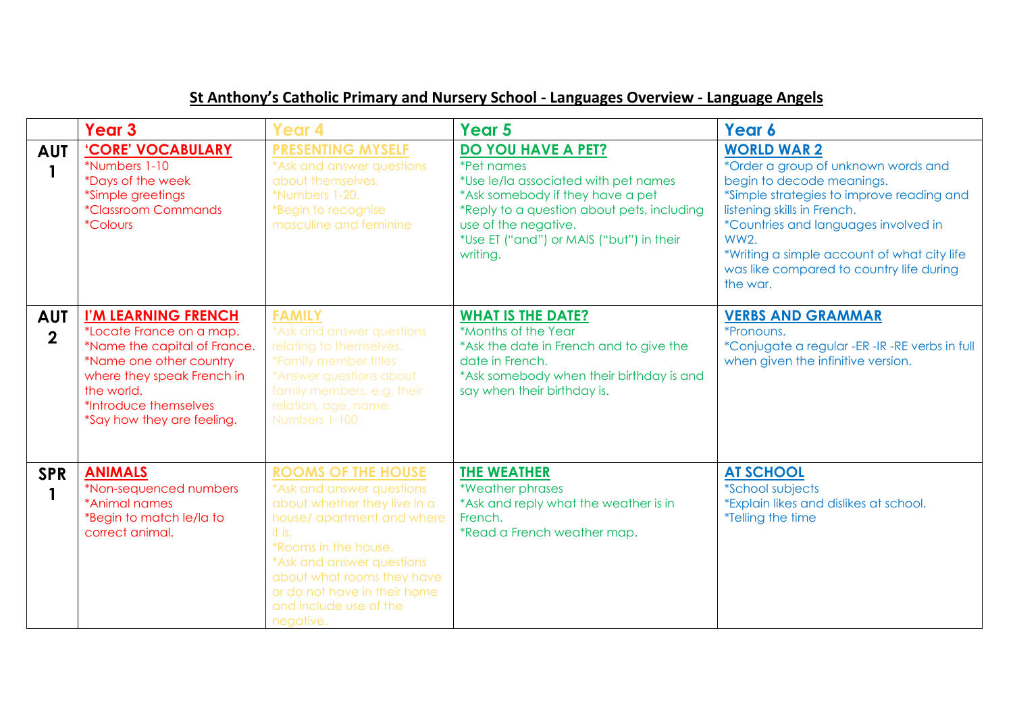## **St Anthony's Catholic Primary and Nursery School - Languages Overview - Language Angels**

|                              | Year <sub>3</sub>                                                                                                                                                                                             | Year 4                                                                                                                                                                                                                                                                                   | Year 5                                                                                                                                                                                                                                            | Year 6                                                                                                                                                                                                                                                                                                                           |
|------------------------------|---------------------------------------------------------------------------------------------------------------------------------------------------------------------------------------------------------------|------------------------------------------------------------------------------------------------------------------------------------------------------------------------------------------------------------------------------------------------------------------------------------------|---------------------------------------------------------------------------------------------------------------------------------------------------------------------------------------------------------------------------------------------------|----------------------------------------------------------------------------------------------------------------------------------------------------------------------------------------------------------------------------------------------------------------------------------------------------------------------------------|
| <b>AUT</b>                   | 'CORE' VOCABULARY<br>*Numbers 1-10<br>*Days of the week<br>*Simple greetings<br><i><b>*Classroom Commands</b></i><br><i><b>*Colours</b></i>                                                                   | <b>PRESENTING MYSELF</b><br>*Ask and answer questions<br>about themselves.<br>*Numbers 1-20,<br>*Begin to recognise<br>masculine and feminine                                                                                                                                            | DO YOU HAVE A PET?<br><i>*Pet names</i><br>*Use le/la associated with pet names<br>*Ask somebody if they have a pet<br>*Reply to a question about pets, including<br>use of the negative.<br>*Use ET ("and") or MAIS ("but") in their<br>writing. | <b>WORLD WAR 2</b><br>*Order a group of unknown words and<br>begin to decode meanings.<br>*Simple strategies to improve reading and<br>listening skills in French.<br>*Countries and languages involved in<br><b>WW2.</b><br>*Writing a simple account of what city life<br>was like compared to country life during<br>the war. |
| <b>AUT</b><br>$\overline{2}$ | I'M LEARNING FRENCH<br>*Locate France on a map.<br>*Name the capital of France.<br>*Name one other country<br>where they speak French in<br>the world.<br>*Introduce themselves<br>*Say how they are feeling. | <b>FAMILY</b><br>*Ask and answer questions<br>relating to themselves.<br>*Family member titles<br>*Answer questions about<br>family members, e.g. their<br>relation, age, name.<br>Numbers 1-100                                                                                         | <b>WHAT IS THE DATE?</b><br>*Months of the Year<br>*Ask the date in French and to give the<br>date in French.<br>*Ask somebody when their birthday is and<br>say when their birthday is.                                                          | <b>VERBS AND GRAMMAR</b><br>*Pronouns.<br>*Conjugate a regular -ER -IR -RE verbs in full<br>when given the infinitive version.                                                                                                                                                                                                   |
| <b>SPR</b>                   | <b>ANIMALS</b><br>*Non-sequenced numbers<br>*Animal names<br>*Begin to match le/la to<br>correct animal.                                                                                                      | <b>ROOMS OF THE HOUSE</b><br>*Ask and answer questions<br>about whether they live in a<br>house/ apartment and where<br>it is.<br>*Rooms in the house.<br>*Ask and answer questions<br>about what rooms they have<br>or do not have in their home<br>and include use of the<br>negative. | <b>THE WEATHER</b><br>*Weather phrases<br>*Ask and reply what the weather is in<br>French.<br>*Read a French weather map.                                                                                                                         | <b>AT SCHOOL</b><br><i><b>*School subjects</b></i><br>*Explain likes and dislikes at school.<br><i>*Telling the time</i>                                                                                                                                                                                                         |